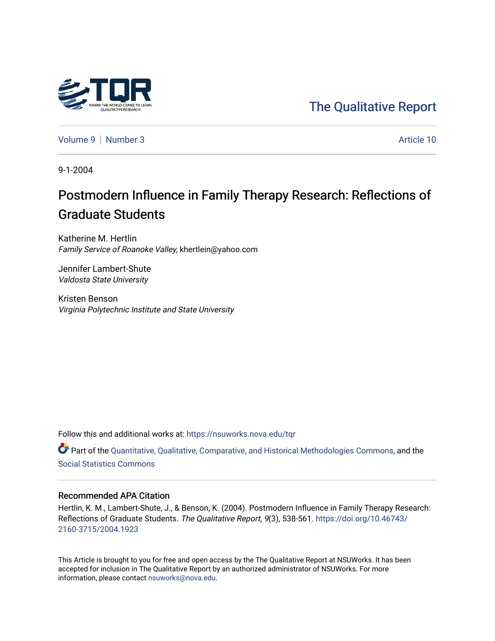

## [The Qualitative Report](https://nsuworks.nova.edu/tqr)

[Volume 9](https://nsuworks.nova.edu/tqr/vol9) | [Number 3](https://nsuworks.nova.edu/tqr/vol9/iss3) Article 10

9-1-2004

# Postmodern Influence in Family Therapy Research: Reflections of Graduate Students

Katherine M. Hertlin Family Service of Roanoke Valley, khertlein@yahoo.com

Jennifer Lambert-Shute Valdosta State University

Kristen Benson Virginia Polytechnic Institute and State University

Follow this and additional works at: [https://nsuworks.nova.edu/tqr](https://nsuworks.nova.edu/tqr?utm_source=nsuworks.nova.edu%2Ftqr%2Fvol9%2Fiss3%2F10&utm_medium=PDF&utm_campaign=PDFCoverPages) 

Part of the [Quantitative, Qualitative, Comparative, and Historical Methodologies Commons,](http://network.bepress.com/hgg/discipline/423?utm_source=nsuworks.nova.edu%2Ftqr%2Fvol9%2Fiss3%2F10&utm_medium=PDF&utm_campaign=PDFCoverPages) and the [Social Statistics Commons](http://network.bepress.com/hgg/discipline/1275?utm_source=nsuworks.nova.edu%2Ftqr%2Fvol9%2Fiss3%2F10&utm_medium=PDF&utm_campaign=PDFCoverPages) 

#### Recommended APA Citation

Hertlin, K. M., Lambert-Shute, J., & Benson, K. (2004). Postmodern Influence in Family Therapy Research: Reflections of Graduate Students. The Qualitative Report, 9(3), 538-561. [https://doi.org/10.46743/](https://doi.org/10.46743/2160-3715/2004.1923) [2160-3715/2004.1923](https://doi.org/10.46743/2160-3715/2004.1923)

This Article is brought to you for free and open access by the The Qualitative Report at NSUWorks. It has been accepted for inclusion in The Qualitative Report by an authorized administrator of NSUWorks. For more information, please contact [nsuworks@nova.edu.](mailto:nsuworks@nova.edu)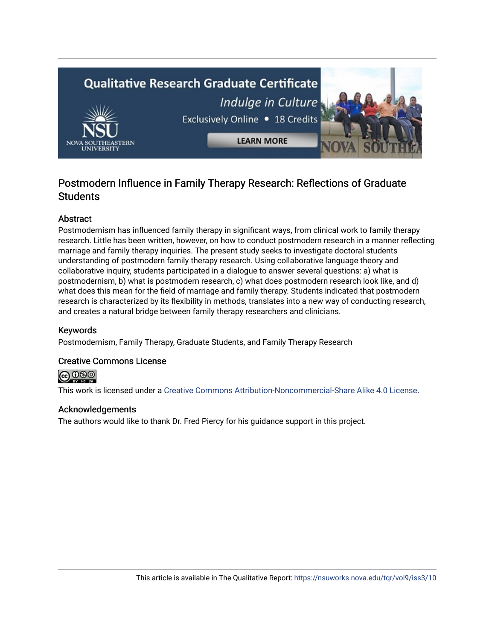# **Qualitative Research Graduate Certificate** Indulge in Culture Exclusively Online . 18 Credits **LEARN MORE**

## Postmodern Influence in Family Therapy Research: Reflections of Graduate **Students**

## Abstract

Postmodernism has influenced family therapy in significant ways, from clinical work to family therapy research. Little has been written, however, on how to conduct postmodern research in a manner reflecting marriage and family therapy inquiries. The present study seeks to investigate doctoral students understanding of postmodern family therapy research. Using collaborative language theory and collaborative inquiry, students participated in a dialogue to answer several questions: a) what is postmodernism, b) what is postmodern research, c) what does postmodern research look like, and d) what does this mean for the field of marriage and family therapy. Students indicated that postmodern research is characterized by its flexibility in methods, translates into a new way of conducting research, and creates a natural bridge between family therapy researchers and clinicians.

### Keywords

Postmodernism, Family Therapy, Graduate Students, and Family Therapy Research

#### Creative Commons License

@ 0®

This work is licensed under a [Creative Commons Attribution-Noncommercial-Share Alike 4.0 License](https://creativecommons.org/licenses/by-nc-sa/4.0/).

#### Acknowledgements

The authors would like to thank Dr. Fred Piercy for his guidance support in this project.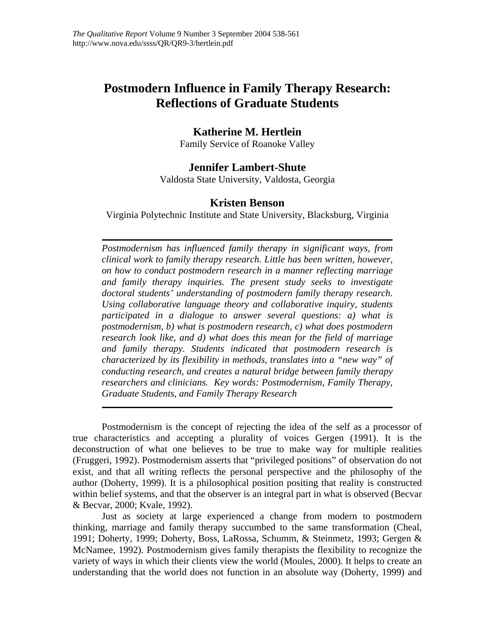## **Postmodern Influence in Family Therapy Research: Reflections of Graduate Students**

## **Katherine M. Hertlein**

Family Service of Roanoke Valley

## **Jennifer Lambert-Shute**

Valdosta State University, Valdosta, Georgia

#### **Kristen Benson**

Virginia Polytechnic Institute and State University, Blacksburg, Virginia

*Postmodernism has influenced family therapy in significant ways, from clinical work to family therapy research. Little has been written, however, on how to conduct postmodern research in a manner reflecting marriage and family therapy inquiries. The present study seeks to investigate doctoral students' understanding of postmodern family therapy research. Using collaborative language theory and collaborative inquiry, students participated in a dialogue to answer several questions: a) what is postmodernism, b) what is postmodern research, c) what does postmodern research look like, and d) what does this mean for the field of marriage and family therapy. Students indicated that postmodern research is characterized by its flexibility in methods, translates into a "new way" of conducting research, and creates a natural bridge between family therapy researchers and clinicians. Key words: Postmodernism, Family Therapy, Graduate Students, and Family Therapy Research* 

Postmodernism is the concept of rejecting the idea of the self as a processor of true characteristics and accepting a plurality of voices Gergen (1991). It is the deconstruction of what one believes to be true to make way for multiple realities (Fruggeri, 1992). Postmodernism asserts that "privileged positions" of observation do not exist, and that all writing reflects the personal perspective and the philosophy of the author (Doherty, 1999). It is a philosophical position positing that reality is constructed within belief systems, and that the observer is an integral part in what is observed (Becvar & Becvar, 2000; Kvale, 1992).

Just as society at large experienced a change from modern to postmodern thinking, marriage and family therapy succumbed to the same transformation (Cheal, 1991; Doherty, 1999; Doherty, Boss, LaRossa, Schumm, & Steinmetz, 1993; Gergen & McNamee, 1992). Postmodernism gives family therapists the flexibility to recognize the variety of ways in which their clients view the world (Moules, 2000). It helps to create an understanding that the world does not function in an absolute way (Doherty, 1999) and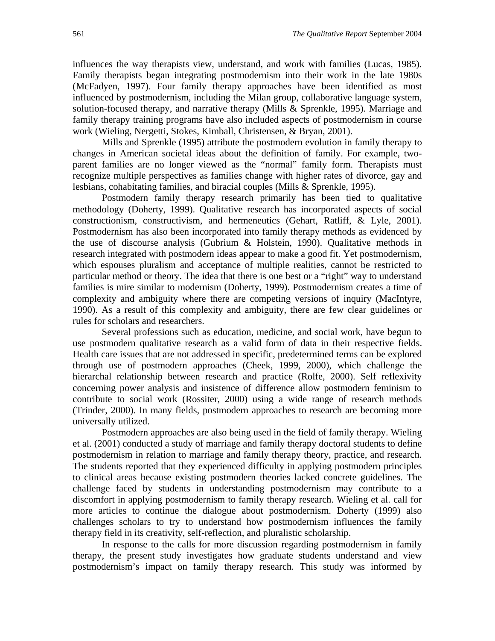influences the way therapists view, understand, and work with families (Lucas, 1985). Family therapists began integrating postmodernism into their work in the late 1980s (McFadyen, 1997). Four family therapy approaches have been identified as most influenced by postmodernism, including the Milan group, collaborative language system, solution-focused therapy, and narrative therapy (Mills & Sprenkle, 1995). Marriage and family therapy training programs have also included aspects of postmodernism in course work (Wieling, Nergetti, Stokes, Kimball, Christensen, & Bryan, 2001).

Mills and Sprenkle (1995) attribute the postmodern evolution in family therapy to changes in American societal ideas about the definition of family. For example, twoparent families are no longer viewed as the "normal" family form. Therapists must recognize multiple perspectives as families change with higher rates of divorce, gay and lesbians, cohabitating families, and biracial couples (Mills & Sprenkle, 1995).

Postmodern family therapy research primarily has been tied to qualitative methodology (Doherty, 1999). Qualitative research has incorporated aspects of social constructionism, constructivism, and hermeneutics (Gehart, Ratliff, & Lyle, 2001). Postmodernism has also been incorporated into family therapy methods as evidenced by the use of discourse analysis (Gubrium & Holstein, 1990). Qualitative methods in research integrated with postmodern ideas appear to make a good fit. Yet postmodernism, which espouses pluralism and acceptance of multiple realities, cannot be restricted to particular method or theory. The idea that there is one best or a "right" way to understand families is mire similar to modernism (Doherty, 1999). Postmodernism creates a time of complexity and ambiguity where there are competing versions of inquiry (MacIntyre, 1990). As a result of this complexity and ambiguity, there are few clear guidelines or rules for scholars and researchers.

Several professions such as education, medicine, and social work, have begun to use postmodern qualitative research as a valid form of data in their respective fields. Health care issues that are not addressed in specific, predetermined terms can be explored through use of postmodern approaches (Cheek, 1999, 2000), which challenge the hierarchal relationship between research and practice (Rolfe, 2000). Self reflexivity concerning power analysis and insistence of difference allow postmodern feminism to contribute to social work (Rossiter, 2000) using a wide range of research methods (Trinder, 2000). In many fields, postmodern approaches to research are becoming more universally utilized.

Postmodern approaches are also being used in the field of family therapy. Wieling et al. (2001) conducted a study of marriage and family therapy doctoral students to define postmodernism in relation to marriage and family therapy theory, practice, and research. The students reported that they experienced difficulty in applying postmodern principles to clinical areas because existing postmodern theories lacked concrete guidelines. The challenge faced by students in understanding postmodernism may contribute to a discomfort in applying postmodernism to family therapy research. Wieling et al. call for more articles to continue the dialogue about postmodernism. Doherty (1999) also challenges scholars to try to understand how postmodernism influences the family therapy field in its creativity, self-reflection, and pluralistic scholarship.

 In response to the calls for more discussion regarding postmodernism in family therapy, the present study investigates how graduate students understand and view postmodernism's impact on family therapy research. This study was informed by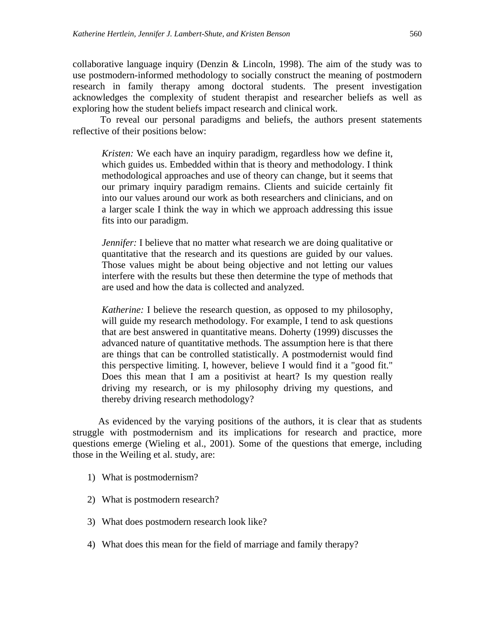collaborative language inquiry (Denzin & Lincoln, 1998). The aim of the study was to use postmodern-informed methodology to socially construct the meaning of postmodern research in family therapy among doctoral students. The present investigation acknowledges the complexity of student therapist and researcher beliefs as well as exploring how the student beliefs impact research and clinical work.

To reveal our personal paradigms and beliefs, the authors present statements reflective of their positions below:

*Kristen:* We each have an inquiry paradigm, regardless how we define it, which guides us. Embedded within that is theory and methodology. I think methodological approaches and use of theory can change, but it seems that our primary inquiry paradigm remains. Clients and suicide certainly fit into our values around our work as both researchers and clinicians, and on a larger scale I think the way in which we approach addressing this issue fits into our paradigm.

*Jennifer:* I believe that no matter what research we are doing qualitative or quantitative that the research and its questions are guided by our values. Those values might be about being objective and not letting our values interfere with the results but these then determine the type of methods that are used and how the data is collected and analyzed.

*Katherine:* I believe the research question, as opposed to my philosophy, will guide my research methodology. For example, I tend to ask questions that are best answered in quantitative means. Doherty (1999) discusses the advanced nature of quantitative methods. The assumption here is that there are things that can be controlled statistically. A postmodernist would find this perspective limiting. I, however, believe I would find it a "good fit." Does this mean that I am a positivist at heart? Is my question really driving my research, or is my philosophy driving my questions, and thereby driving research methodology?

As evidenced by the varying positions of the authors, it is clear that as students struggle with postmodernism and its implications for research and practice, more questions emerge (Wieling et al., 2001). Some of the questions that emerge, including those in the Weiling et al. study, are:

- 1) What is postmodernism?
- 2) What is postmodern research?
- 3) What does postmodern research look like?
- 4) What does this mean for the field of marriage and family therapy?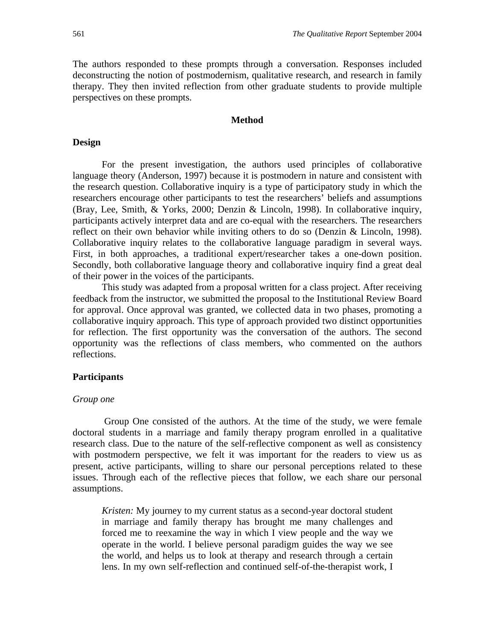The authors responded to these prompts through a conversation. Responses included deconstructing the notion of postmodernism, qualitative research, and research in family therapy. They then invited reflection from other graduate students to provide multiple perspectives on these prompts.

#### **Method**

#### **Design**

For the present investigation, the authors used principles of collaborative language theory (Anderson, 1997) because it is postmodern in nature and consistent with the research question. Collaborative inquiry is a type of participatory study in which the researchers encourage other participants to test the researchers' beliefs and assumptions (Bray, Lee, Smith, & Yorks, 2000; Denzin & Lincoln, 1998). In collaborative inquiry, participants actively interpret data and are co-equal with the researchers. The researchers reflect on their own behavior while inviting others to do so (Denzin & Lincoln, 1998). Collaborative inquiry relates to the collaborative language paradigm in several ways. First, in both approaches, a traditional expert/researcher takes a one-down position. Secondly, both collaborative language theory and collaborative inquiry find a great deal of their power in the voices of the participants.

 This study was adapted from a proposal written for a class project. After receiving feedback from the instructor, we submitted the proposal to the Institutional Review Board for approval. Once approval was granted, we collected data in two phases, promoting a collaborative inquiry approach. This type of approach provided two distinct opportunities for reflection. The first opportunity was the conversation of the authors. The second opportunity was the reflections of class members, who commented on the authors reflections.

#### **Participants**

#### *Group one*

 Group One consisted of the authors. At the time of the study, we were female doctoral students in a marriage and family therapy program enrolled in a qualitative research class. Due to the nature of the self-reflective component as well as consistency with postmodern perspective, we felt it was important for the readers to view us as present, active participants, willing to share our personal perceptions related to these issues. Through each of the reflective pieces that follow, we each share our personal assumptions.

*Kristen:* My journey to my current status as a second-year doctoral student in marriage and family therapy has brought me many challenges and forced me to reexamine the way in which I view people and the way we operate in the world. I believe personal paradigm guides the way we see the world, and helps us to look at therapy and research through a certain lens. In my own self-reflection and continued self-of-the-therapist work, I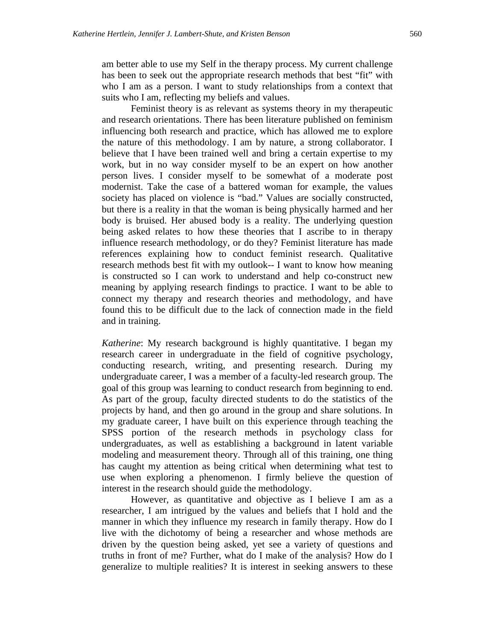am better able to use my Self in the therapy process. My current challenge has been to seek out the appropriate research methods that best "fit" with who I am as a person. I want to study relationships from a context that suits who I am, reflecting my beliefs and values.

 Feminist theory is as relevant as systems theory in my therapeutic and research orientations. There has been literature published on feminism influencing both research and practice, which has allowed me to explore the nature of this methodology. I am by nature, a strong collaborator. I believe that I have been trained well and bring a certain expertise to my work, but in no way consider myself to be an expert on how another person lives. I consider myself to be somewhat of a moderate post modernist. Take the case of a battered woman for example, the values society has placed on violence is "bad." Values are socially constructed, but there is a reality in that the woman is being physically harmed and her body is bruised. Her abused body is a reality. The underlying question being asked relates to how these theories that I ascribe to in therapy influence research methodology, or do they? Feminist literature has made references explaining how to conduct feminist research. Qualitative research methods best fit with my outlook-- I want to know how meaning is constructed so I can work to understand and help co-construct new meaning by applying research findings to practice. I want to be able to connect my therapy and research theories and methodology, and have found this to be difficult due to the lack of connection made in the field and in training.

*Katherine*: My research background is highly quantitative. I began my research career in undergraduate in the field of cognitive psychology, conducting research, writing, and presenting research. During my undergraduate career, I was a member of a faculty-led research group. The goal of this group was learning to conduct research from beginning to end. As part of the group, faculty directed students to do the statistics of the projects by hand, and then go around in the group and share solutions. In my graduate career, I have built on this experience through teaching the SPSS portion of the research methods in psychology class for undergraduates, as well as establishing a background in latent variable modeling and measurement theory. Through all of this training, one thing has caught my attention as being critical when determining what test to use when exploring a phenomenon. I firmly believe the question of interest in the research should guide the methodology.

However, as quantitative and objective as I believe I am as a researcher, I am intrigued by the values and beliefs that I hold and the manner in which they influence my research in family therapy. How do I live with the dichotomy of being a researcher and whose methods are driven by the question being asked, yet see a variety of questions and truths in front of me? Further, what do I make of the analysis? How do I generalize to multiple realities? It is interest in seeking answers to these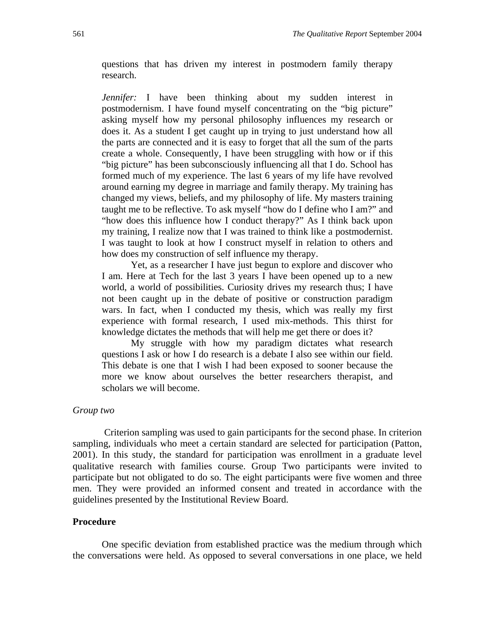questions that has driven my interest in postmodern family therapy research.

*Jennifer:* I have been thinking about my sudden interest in postmodernism. I have found myself concentrating on the "big picture" asking myself how my personal philosophy influences my research or does it. As a student I get caught up in trying to just understand how all the parts are connected and it is easy to forget that all the sum of the parts create a whole. Consequently, I have been struggling with how or if this "big picture" has been subconsciously influencing all that I do. School has formed much of my experience. The last 6 years of my life have revolved around earning my degree in marriage and family therapy. My training has changed my views, beliefs, and my philosophy of life. My masters training taught me to be reflective. To ask myself "how do I define who I am?" and "how does this influence how I conduct therapy?" As I think back upon my training, I realize now that I was trained to think like a postmodernist. I was taught to look at how I construct myself in relation to others and how does my construction of self influence my therapy.

Yet, as a researcher I have just begun to explore and discover who I am. Here at Tech for the last 3 years I have been opened up to a new world, a world of possibilities. Curiosity drives my research thus; I have not been caught up in the debate of positive or construction paradigm wars. In fact, when I conducted my thesis, which was really my first experience with formal research, I used mix-methods. This thirst for knowledge dictates the methods that will help me get there or does it?

My struggle with how my paradigm dictates what research questions I ask or how I do research is a debate I also see within our field. This debate is one that I wish I had been exposed to sooner because the more we know about ourselves the better researchers therapist, and scholars we will become.

#### *Group two*

Criterion sampling was used to gain participants for the second phase. In criterion sampling, individuals who meet a certain standard are selected for participation (Patton, 2001). In this study, the standard for participation was enrollment in a graduate level qualitative research with families course. Group Two participants were invited to participate but not obligated to do so. The eight participants were five women and three men. They were provided an informed consent and treated in accordance with the guidelines presented by the Institutional Review Board.

#### **Procedure**

One specific deviation from established practice was the medium through which the conversations were held. As opposed to several conversations in one place, we held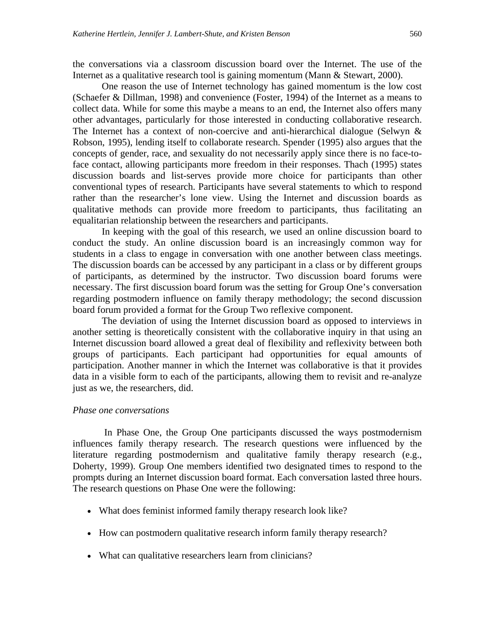the conversations via a classroom discussion board over the Internet. The use of the Internet as a qualitative research tool is gaining momentum (Mann & Stewart, 2000).

One reason the use of Internet technology has gained momentum is the low cost (Schaefer & Dillman, 1998) and convenience (Foster, 1994) of the Internet as a means to collect data. While for some this maybe a means to an end, the Internet also offers many other advantages, particularly for those interested in conducting collaborative research. The Internet has a context of non-coercive and anti-hierarchical dialogue (Selwyn & Robson, 1995), lending itself to collaborate research. Spender (1995) also argues that the concepts of gender, race, and sexuality do not necessarily apply since there is no face-toface contact, allowing participants more freedom in their responses. Thach (1995) states discussion boards and list-serves provide more choice for participants than other conventional types of research. Participants have several statements to which to respond rather than the researcher's lone view. Using the Internet and discussion boards as qualitative methods can provide more freedom to participants, thus facilitating an equalitarian relationship between the researchers and participants.

In keeping with the goal of this research, we used an online discussion board to conduct the study. An online discussion board is an increasingly common way for students in a class to engage in conversation with one another between class meetings. The discussion boards can be accessed by any participant in a class or by different groups of participants, as determined by the instructor. Two discussion board forums were necessary. The first discussion board forum was the setting for Group One's conversation regarding postmodern influence on family therapy methodology; the second discussion board forum provided a format for the Group Two reflexive component.

The deviation of using the Internet discussion board as opposed to interviews in another setting is theoretically consistent with the collaborative inquiry in that using an Internet discussion board allowed a great deal of flexibility and reflexivity between both groups of participants. Each participant had opportunities for equal amounts of participation. Another manner in which the Internet was collaborative is that it provides data in a visible form to each of the participants, allowing them to revisit and re-analyze just as we, the researchers, did.

#### *Phase one conversations*

In Phase One, the Group One participants discussed the ways postmodernism influences family therapy research. The research questions were influenced by the literature regarding postmodernism and qualitative family therapy research (e.g., Doherty, 1999). Group One members identified two designated times to respond to the prompts during an Internet discussion board format. Each conversation lasted three hours. The research questions on Phase One were the following:

- What does feminist informed family therapy research look like?
- How can postmodern qualitative research inform family therapy research?
- What can qualitative researchers learn from clinicians?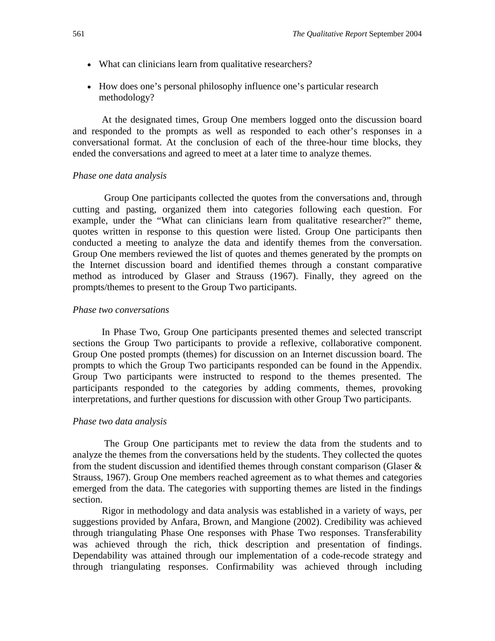- What can clinicians learn from qualitative researchers?
- How does one's personal philosophy influence one's particular research methodology?

At the designated times, Group One members logged onto the discussion board and responded to the prompts as well as responded to each other's responses in a conversational format. At the conclusion of each of the three-hour time blocks, they ended the conversations and agreed to meet at a later time to analyze themes.

#### *Phase one data analysis*

Group One participants collected the quotes from the conversations and, through cutting and pasting, organized them into categories following each question. For example, under the "What can clinicians learn from qualitative researcher?" theme, quotes written in response to this question were listed. Group One participants then conducted a meeting to analyze the data and identify themes from the conversation. Group One members reviewed the list of quotes and themes generated by the prompts on the Internet discussion board and identified themes through a constant comparative method as introduced by Glaser and Strauss (1967). Finally, they agreed on the prompts/themes to present to the Group Two participants.

#### *Phase two conversations*

In Phase Two, Group One participants presented themes and selected transcript sections the Group Two participants to provide a reflexive, collaborative component. Group One posted prompts (themes) for discussion on an Internet discussion board. The prompts to which the Group Two participants responded can be found in the Appendix. Group Two participants were instructed to respond to the themes presented. The participants responded to the categories by adding comments, themes, provoking interpretations, and further questions for discussion with other Group Two participants.

#### *Phase two data analysis*

The Group One participants met to review the data from the students and to analyze the themes from the conversations held by the students. They collected the quotes from the student discussion and identified themes through constant comparison (Glaser & Strauss, 1967). Group One members reached agreement as to what themes and categories emerged from the data. The categories with supporting themes are listed in the findings section.

Rigor in methodology and data analysis was established in a variety of ways, per suggestions provided by Anfara, Brown, and Mangione (2002). Credibility was achieved through triangulating Phase One responses with Phase Two responses. Transferability was achieved through the rich, thick description and presentation of findings. Dependability was attained through our implementation of a code-recode strategy and through triangulating responses. Confirmability was achieved through including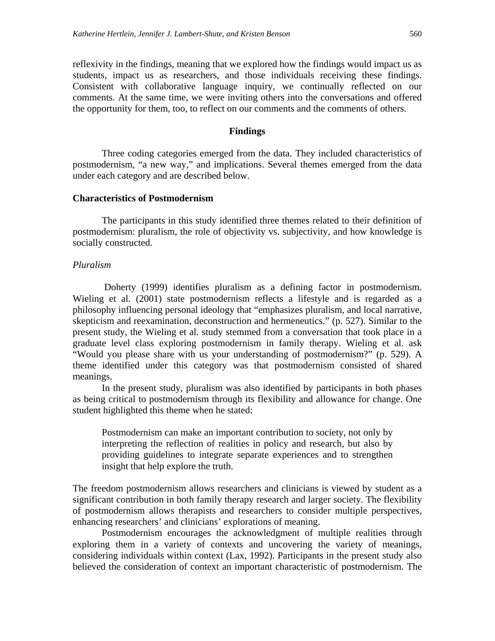reflexivity in the findings, meaning that we explored how the findings would impact us as students, impact us as researchers, and those individuals receiving these findings. Consistent with collaborative language inquiry, we continually reflected on our comments. At the same time, we were inviting others into the conversations and offered the opportunity for them, too, to reflect on our comments and the comments of others.

#### **Findings**

Three coding categories emerged from the data. They included characteristics of postmodernism, "a new way," and implications. Several themes emerged from the data under each category and are described below.

#### **Characteristics of Postmodernism**

 The participants in this study identified three themes related to their definition of postmodernism: pluralism, the role of objectivity vs. subjectivity, and how knowledge is socially constructed.

#### *Pluralism*

Doherty (1999) identifies pluralism as a defining factor in postmodernism. Wieling et al. (2001) state postmodernism reflects a lifestyle and is regarded as a philosophy influencing personal ideology that "emphasizes pluralism, and local narrative, skepticism and reexamination, deconstruction and hermeneutics." (p. 527). Similar to the present study, the Wieling et al. study stemmed from a conversation that took place in a graduate level class exploring postmodernism in family therapy. Wieling et al. ask "Would you please share with us your understanding of postmodernism?" (p. 529). A theme identified under this category was that postmodernism consisted of shared meanings.

 In the present study, pluralism was also identified by participants in both phases as being critical to postmodernism through its flexibility and allowance for change. One student highlighted this theme when he stated:

Postmodernism can make an important contribution to society, not only by interpreting the reflection of realities in policy and research, but also by providing guidelines to integrate separate experiences and to strengthen insight that help explore the truth.

The freedom postmodernism allows researchers and clinicians is viewed by student as a significant contribution in both family therapy research and larger society. The flexibility of postmodernism allows therapists and researchers to consider multiple perspectives, enhancing researchers' and clinicians' explorations of meaning.

Postmodernism encourages the acknowledgment of multiple realities through exploring them in a variety of contexts and uncovering the variety of meanings, considering individuals within context (Lax, 1992). Participants in the present study also believed the consideration of context an important characteristic of postmodernism. The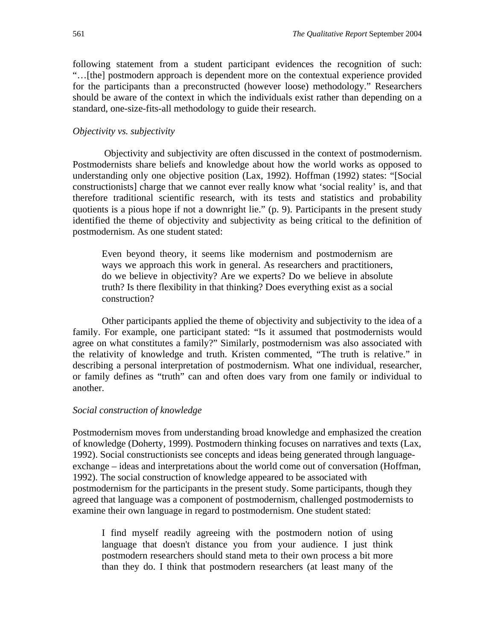following statement from a student participant evidences the recognition of such: "…[the] postmodern approach is dependent more on the contextual experience provided for the participants than a preconstructed (however loose) methodology." Researchers should be aware of the context in which the individuals exist rather than depending on a standard, one-size-fits-all methodology to guide their research.

#### *Objectivity vs. subjectivity*

 Objectivity and subjectivity are often discussed in the context of postmodernism. Postmodernists share beliefs and knowledge about how the world works as opposed to understanding only one objective position (Lax, 1992). Hoffman (1992) states: "[Social constructionists] charge that we cannot ever really know what 'social reality' is, and that therefore traditional scientific research, with its tests and statistics and probability quotients is a pious hope if not a downright lie." (p. 9). Participants in the present study identified the theme of objectivity and subjectivity as being critical to the definition of postmodernism. As one student stated:

Even beyond theory, it seems like modernism and postmodernism are ways we approach this work in general. As researchers and practitioners, do we believe in objectivity? Are we experts? Do we believe in absolute truth? Is there flexibility in that thinking? Does everything exist as a social construction?

Other participants applied the theme of objectivity and subjectivity to the idea of a family. For example, one participant stated: "Is it assumed that postmodernists would agree on what constitutes a family?" Similarly, postmodernism was also associated with the relativity of knowledge and truth. Kristen commented, "The truth is relative." in describing a personal interpretation of postmodernism. What one individual, researcher, or family defines as "truth" can and often does vary from one family or individual to another.

#### *Social construction of knowledge*

Postmodernism moves from understanding broad knowledge and emphasized the creation of knowledge (Doherty, 1999). Postmodern thinking focuses on narratives and texts (Lax, 1992). Social constructionists see concepts and ideas being generated through languageexchange – ideas and interpretations about the world come out of conversation (Hoffman, 1992). The social construction of knowledge appeared to be associated with postmodernism for the participants in the present study. Some participants, though they agreed that language was a component of postmodernism, challenged postmodernists to examine their own language in regard to postmodernism. One student stated:

I find myself readily agreeing with the postmodern notion of using language that doesn't distance you from your audience. I just think postmodern researchers should stand meta to their own process a bit more than they do. I think that postmodern researchers (at least many of the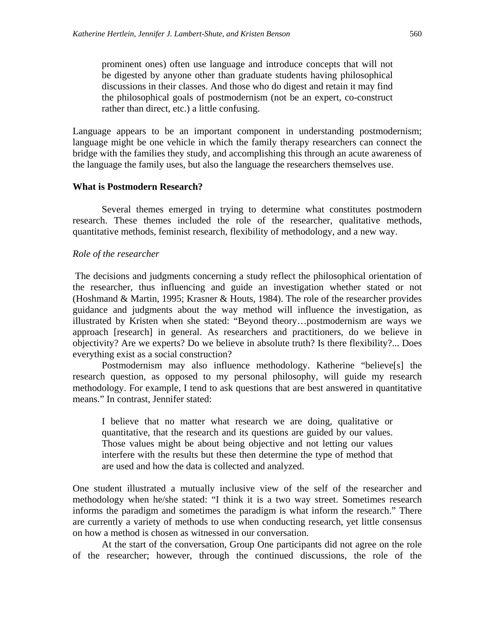prominent ones) often use language and introduce concepts that will not be digested by anyone other than graduate students having philosophical discussions in their classes. And those who do digest and retain it may find the philosophical goals of postmodernism (not be an expert, co-construct rather than direct, etc.) a little confusing.

Language appears to be an important component in understanding postmodernism; language might be one vehicle in which the family therapy researchers can connect the bridge with the families they study, and accomplishing this through an acute awareness of the language the family uses, but also the language the researchers themselves use.

#### **What is Postmodern Research?**

Several themes emerged in trying to determine what constitutes postmodern research. These themes included the role of the researcher, qualitative methods, quantitative methods, feminist research, flexibility of methodology, and a new way.

#### *Role of the researcher*

 The decisions and judgments concerning a study reflect the philosophical orientation of the researcher, thus influencing and guide an investigation whether stated or not (Hoshmand & Martin, 1995; Krasner & Houts, 1984). The role of the researcher provides guidance and judgments about the way method will influence the investigation, as illustrated by Kristen when she stated: "Beyond theory…postmodernism are ways we approach [research] in general. As researchers and practitioners, do we believe in objectivity? Are we experts? Do we believe in absolute truth? Is there flexibility?... Does everything exist as a social construction?

Postmodernism may also influence methodology. Katherine "believe[s] the research question, as opposed to my personal philosophy, will guide my research methodology. For example, I tend to ask questions that are best answered in quantitative means." In contrast, Jennifer stated:

I believe that no matter what research we are doing, qualitative or quantitative, that the research and its questions are guided by our values. Those values might be about being objective and not letting our values interfere with the results but these then determine the type of method that are used and how the data is collected and analyzed.

One student illustrated a mutually inclusive view of the self of the researcher and methodology when he/she stated: "I think it is a two way street. Sometimes research informs the paradigm and sometimes the paradigm is what inform the research." There are currently a variety of methods to use when conducting research, yet little consensus on how a method is chosen as witnessed in our conversation.

At the start of the conversation, Group One participants did not agree on the role of the researcher; however, through the continued discussions, the role of the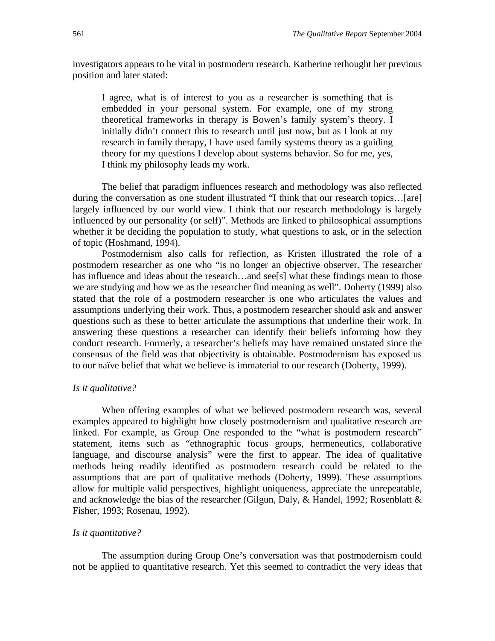investigators appears to be vital in postmodern research. Katherine rethought her previous position and later stated:

I agree, what is of interest to you as a researcher is something that is embedded in your personal system. For example, one of my strong theoretical frameworks in therapy is Bowen's family system's theory. I initially didn't connect this to research until just now, but as I look at my research in family therapy, I have used family systems theory as a guiding theory for my questions I develop about systems behavior. So for me, yes, I think my philosophy leads my work.

The belief that paradigm influences research and methodology was also reflected during the conversation as one student illustrated "I think that our research topics…[are] largely influenced by our world view. I think that our research methodology is largely influenced by our personality (or self)". Methods are linked to philosophical assumptions whether it be deciding the population to study, what questions to ask, or in the selection of topic (Hoshmand, 1994).

Postmodernism also calls for reflection, as Kristen illustrated the role of a postmodern researcher as one who "is no longer an objective observer. The researcher has influence and ideas about the research...and see[s] what these findings mean to those we are studying and how we as the researcher find meaning as well". Doherty (1999) also stated that the role of a postmodern researcher is one who articulates the values and assumptions underlying their work. Thus, a postmodern researcher should ask and answer questions such as these to better articulate the assumptions that underline their work. In answering these questions a researcher can identify their beliefs informing how they conduct research. Formerly, a researcher's beliefs may have remained unstated since the consensus of the field was that objectivity is obtainable. Postmodernism has exposed us to our naïve belief that what we believe is immaterial to our research (Doherty, 1999).

#### *Is it qualitative?*

When offering examples of what we believed postmodern research was, several examples appeared to highlight how closely postmodernism and qualitative research are linked. For example, as Group One responded to the "what is postmodern research" statement, items such as "ethnographic focus groups, hermeneutics, collaborative language, and discourse analysis" were the first to appear. The idea of qualitative methods being readily identified as postmodern research could be related to the assumptions that are part of qualitative methods (Doherty, 1999). These assumptions allow for multiple valid perspectives, highlight uniqueness, appreciate the unrepeatable, and acknowledge the bias of the researcher (Gilgun, Daly, & Handel, 1992; Rosenblatt & Fisher, 1993; Rosenau, 1992).

#### *Is it quantitative?*

The assumption during Group One's conversation was that postmodernism could not be applied to quantitative research. Yet this seemed to contradict the very ideas that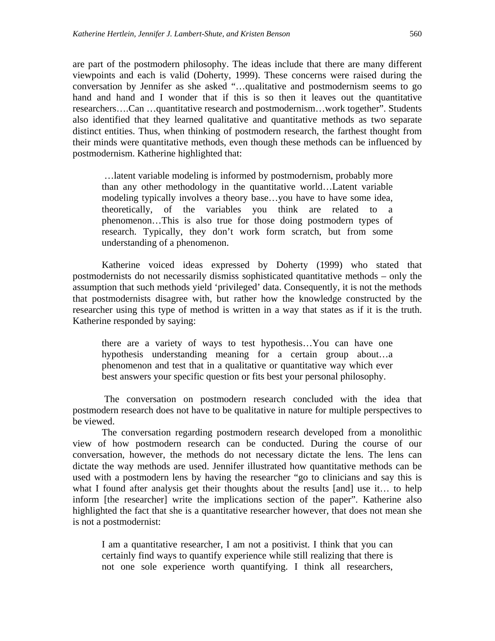are part of the postmodern philosophy. The ideas include that there are many different viewpoints and each is valid (Doherty, 1999). These concerns were raised during the conversation by Jennifer as she asked "…qualitative and postmodernism seems to go hand and hand and I wonder that if this is so then it leaves out the quantitative researchers….Can …quantitative research and postmodernism…work together". Students also identified that they learned qualitative and quantitative methods as two separate distinct entities. Thus, when thinking of postmodern research, the farthest thought from their minds were quantitative methods, even though these methods can be influenced by postmodernism. Katherine highlighted that:

 …latent variable modeling is informed by postmodernism, probably more than any other methodology in the quantitative world…Latent variable modeling typically involves a theory base…you have to have some idea, theoretically, of the variables you think are related to a phenomenon…This is also true for those doing postmodern types of research. Typically, they don't work form scratch, but from some understanding of a phenomenon.

Katherine voiced ideas expressed by Doherty (1999) who stated that postmodernists do not necessarily dismiss sophisticated quantitative methods – only the assumption that such methods yield 'privileged' data. Consequently, it is not the methods that postmodernists disagree with, but rather how the knowledge constructed by the researcher using this type of method is written in a way that states as if it is the truth. Katherine responded by saying:

there are a variety of ways to test hypothesis…You can have one hypothesis understanding meaning for a certain group about…a phenomenon and test that in a qualitative or quantitative way which ever best answers your specific question or fits best your personal philosophy.

 The conversation on postmodern research concluded with the idea that postmodern research does not have to be qualitative in nature for multiple perspectives to be viewed.

The conversation regarding postmodern research developed from a monolithic view of how postmodern research can be conducted. During the course of our conversation, however, the methods do not necessary dictate the lens. The lens can dictate the way methods are used. Jennifer illustrated how quantitative methods can be used with a postmodern lens by having the researcher "go to clinicians and say this is what I found after analysis get their thoughts about the results [and] use it... to help inform [the researcher] write the implications section of the paper". Katherine also highlighted the fact that she is a quantitative researcher however, that does not mean she is not a postmodernist:

I am a quantitative researcher, I am not a positivist. I think that you can certainly find ways to quantify experience while still realizing that there is not one sole experience worth quantifying. I think all researchers,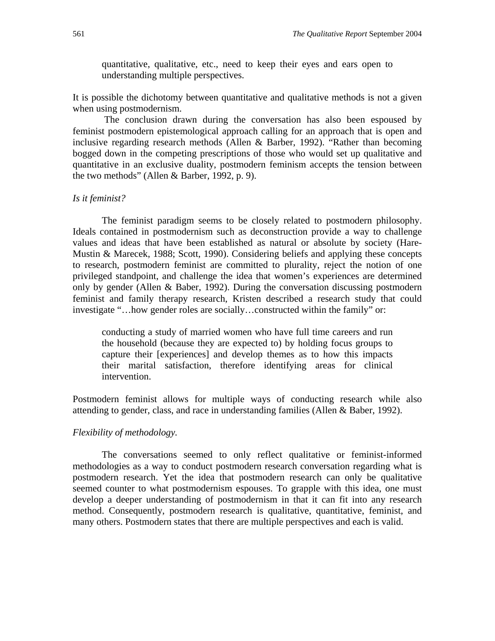quantitative, qualitative, etc., need to keep their eyes and ears open to understanding multiple perspectives.

It is possible the dichotomy between quantitative and qualitative methods is not a given when using postmodernism.

 The conclusion drawn during the conversation has also been espoused by feminist postmodern epistemological approach calling for an approach that is open and inclusive regarding research methods (Allen & Barber, 1992). "Rather than becoming bogged down in the competing prescriptions of those who would set up qualitative and quantitative in an exclusive duality, postmodern feminism accepts the tension between the two methods" (Allen & Barber, 1992, p. 9).

#### *Is it feminist?*

The feminist paradigm seems to be closely related to postmodern philosophy. Ideals contained in postmodernism such as deconstruction provide a way to challenge values and ideas that have been established as natural or absolute by society (Hare-Mustin & Marecek, 1988; Scott, 1990). Considering beliefs and applying these concepts to research, postmodern feminist are committed to plurality, reject the notion of one privileged standpoint, and challenge the idea that women's experiences are determined only by gender (Allen & Baber, 1992). During the conversation discussing postmodern feminist and family therapy research, Kristen described a research study that could investigate "…how gender roles are socially…constructed within the family" or:

conducting a study of married women who have full time careers and run the household (because they are expected to) by holding focus groups to capture their [experiences] and develop themes as to how this impacts their marital satisfaction, therefore identifying areas for clinical intervention.

Postmodern feminist allows for multiple ways of conducting research while also attending to gender, class, and race in understanding families (Allen & Baber, 1992).

#### *Flexibility of methodology.*

The conversations seemed to only reflect qualitative or feminist-informed methodologies as a way to conduct postmodern research conversation regarding what is postmodern research. Yet the idea that postmodern research can only be qualitative seemed counter to what postmodernism espouses. To grapple with this idea, one must develop a deeper understanding of postmodernism in that it can fit into any research method. Consequently, postmodern research is qualitative, quantitative, feminist, and many others. Postmodern states that there are multiple perspectives and each is valid.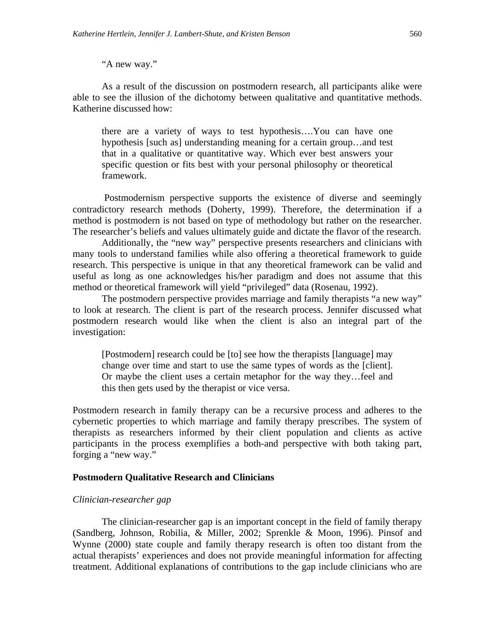#### "A new way."

As a result of the discussion on postmodern research, all participants alike were able to see the illusion of the dichotomy between qualitative and quantitative methods. Katherine discussed how:

there are a variety of ways to test hypothesis….You can have one hypothesis [such as] understanding meaning for a certain group...and test that in a qualitative or quantitative way. Which ever best answers your specific question or fits best with your personal philosophy or theoretical framework.

 Postmodernism perspective supports the existence of diverse and seemingly contradictory research methods (Doherty, 1999). Therefore, the determination if a method is postmodern is not based on type of methodology but rather on the researcher. The researcher's beliefs and values ultimately guide and dictate the flavor of the research.

Additionally, the "new way" perspective presents researchers and clinicians with many tools to understand families while also offering a theoretical framework to guide research. This perspective is unique in that any theoretical framework can be valid and useful as long as one acknowledges his/her paradigm and does not assume that this method or theoretical framework will yield "privileged" data (Rosenau, 1992).

The postmodern perspective provides marriage and family therapists "a new way" to look at research. The client is part of the research process. Jennifer discussed what postmodern research would like when the client is also an integral part of the investigation:

[Postmodern] research could be [to] see how the therapists [language] may change over time and start to use the same types of words as the [client]. Or maybe the client uses a certain metaphor for the way they…feel and this then gets used by the therapist or vice versa.

Postmodern research in family therapy can be a recursive process and adheres to the cybernetic properties to which marriage and family therapy prescribes. The system of therapists as researchers informed by their client population and clients as active participants in the process exemplifies a both-and perspective with both taking part, forging a "new way."

#### **Postmodern Qualitative Research and Clinicians**

#### *Clinician-researcher gap*

The clinician-researcher gap is an important concept in the field of family therapy (Sandberg, Johnson, Robilia, & Miller, 2002; Sprenkle & Moon, 1996). Pinsof and Wynne (2000) state couple and family therapy research is often too distant from the actual therapists' experiences and does not provide meaningful information for affecting treatment. Additional explanations of contributions to the gap include clinicians who are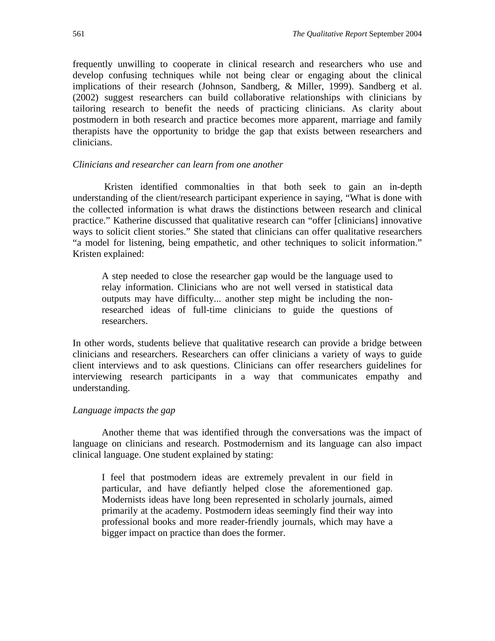frequently unwilling to cooperate in clinical research and researchers who use and develop confusing techniques while not being clear or engaging about the clinical implications of their research (Johnson, Sandberg, & Miller, 1999). Sandberg et al. (2002) suggest researchers can build collaborative relationships with clinicians by tailoring research to benefit the needs of practicing clinicians. As clarity about postmodern in both research and practice becomes more apparent, marriage and family therapists have the opportunity to bridge the gap that exists between researchers and clinicians.

#### *Clinicians and researcher can learn from one another*

Kristen identified commonalties in that both seek to gain an in-depth understanding of the client/research participant experience in saying, "What is done with the collected information is what draws the distinctions between research and clinical practice." Katherine discussed that qualitative research can "offer [clinicians] innovative ways to solicit client stories." She stated that clinicians can offer qualitative researchers "a model for listening, being empathetic, and other techniques to solicit information." Kristen explained:

A step needed to close the researcher gap would be the language used to relay information. Clinicians who are not well versed in statistical data outputs may have difficulty... another step might be including the nonresearched ideas of full-time clinicians to guide the questions of researchers.

In other words, students believe that qualitative research can provide a bridge between clinicians and researchers. Researchers can offer clinicians a variety of ways to guide client interviews and to ask questions. Clinicians can offer researchers guidelines for interviewing research participants in a way that communicates empathy and understanding.

#### *Language impacts the gap*

Another theme that was identified through the conversations was the impact of language on clinicians and research. Postmodernism and its language can also impact clinical language. One student explained by stating:

I feel that postmodern ideas are extremely prevalent in our field in particular, and have defiantly helped close the aforementioned gap. Modernists ideas have long been represented in scholarly journals, aimed primarily at the academy. Postmodern ideas seemingly find their way into professional books and more reader-friendly journals, which may have a bigger impact on practice than does the former.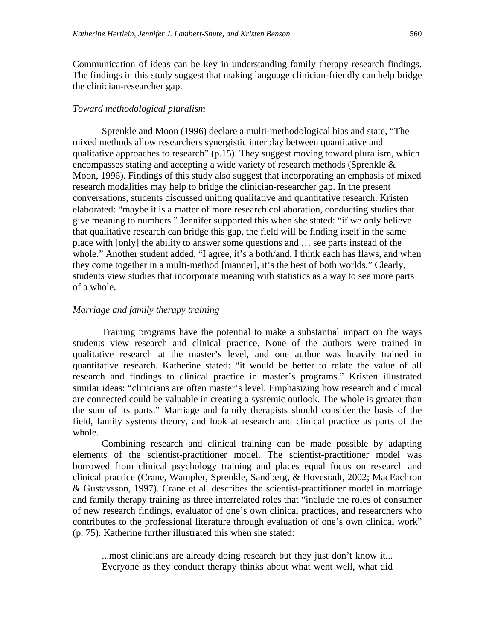Communication of ideas can be key in understanding family therapy research findings. The findings in this study suggest that making language clinician-friendly can help bridge the clinician-researcher gap.

#### *Toward methodological pluralism*

Sprenkle and Moon (1996) declare a multi-methodological bias and state, "The mixed methods allow researchers synergistic interplay between quantitative and qualitative approaches to research" (p.15). They suggest moving toward pluralism, which encompasses stating and accepting a wide variety of research methods (Sprenkle & Moon, 1996). Findings of this study also suggest that incorporating an emphasis of mixed research modalities may help to bridge the clinician-researcher gap. In the present conversations, students discussed uniting qualitative and quantitative research. Kristen elaborated: "maybe it is a matter of more research collaboration, conducting studies that give meaning to numbers." Jennifer supported this when she stated: "if we only believe that qualitative research can bridge this gap, the field will be finding itself in the same place with [only] the ability to answer some questions and … see parts instead of the whole." Another student added, "I agree, it's a both/and. I think each has flaws, and when they come together in a multi-method [manner], it's the best of both worlds." Clearly, students view studies that incorporate meaning with statistics as a way to see more parts of a whole.

#### *Marriage and family therapy training*

 Training programs have the potential to make a substantial impact on the ways students view research and clinical practice. None of the authors were trained in qualitative research at the master's level, and one author was heavily trained in quantitative research. Katherine stated: "it would be better to relate the value of all research and findings to clinical practice in master's programs." Kristen illustrated similar ideas: "clinicians are often master's level. Emphasizing how research and clinical are connected could be valuable in creating a systemic outlook. The whole is greater than the sum of its parts." Marriage and family therapists should consider the basis of the field, family systems theory, and look at research and clinical practice as parts of the whole.

Combining research and clinical training can be made possible by adapting elements of the scientist-practitioner model. The scientist-practitioner model was borrowed from clinical psychology training and places equal focus on research and clinical practice (Crane, Wampler, Sprenkle, Sandberg, & Hovestadt, 2002; MacEachron & Gustavsson, 1997). Crane et al. describes the scientist-practitioner model in marriage and family therapy training as three interrelated roles that "include the roles of consumer of new research findings, evaluator of one's own clinical practices, and researchers who contributes to the professional literature through evaluation of one's own clinical work" (p. 75). Katherine further illustrated this when she stated:

...most clinicians are already doing research but they just don't know it... Everyone as they conduct therapy thinks about what went well, what did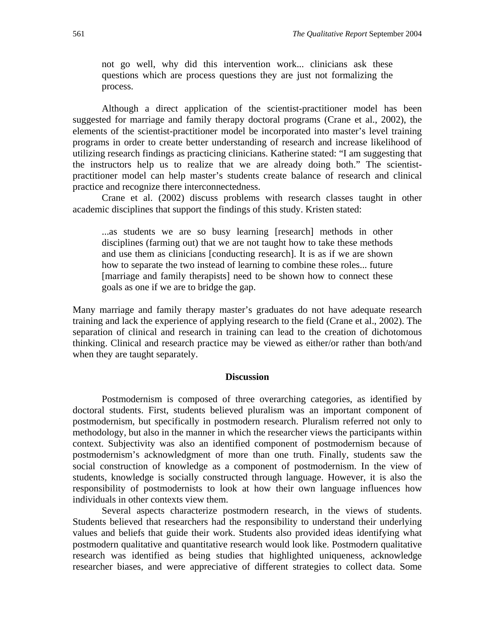not go well, why did this intervention work... clinicians ask these questions which are process questions they are just not formalizing the process.

 Although a direct application of the scientist-practitioner model has been suggested for marriage and family therapy doctoral programs (Crane et al., 2002), the elements of the scientist-practitioner model be incorporated into master's level training programs in order to create better understanding of research and increase likelihood of utilizing research findings as practicing clinicians. Katherine stated: "I am suggesting that the instructors help us to realize that we are already doing both." The scientistpractitioner model can help master's students create balance of research and clinical practice and recognize there interconnectedness.

 Crane et al. (2002) discuss problems with research classes taught in other academic disciplines that support the findings of this study. Kristen stated:

...as students we are so busy learning [research] methods in other disciplines (farming out) that we are not taught how to take these methods and use them as clinicians [conducting research]. It is as if we are shown how to separate the two instead of learning to combine these roles... future [marriage and family therapists] need to be shown how to connect these goals as one if we are to bridge the gap.

Many marriage and family therapy master's graduates do not have adequate research training and lack the experience of applying research to the field (Crane et al., 2002). The separation of clinical and research in training can lead to the creation of dichotomous thinking. Clinical and research practice may be viewed as either/or rather than both/and when they are taught separately.

#### **Discussion**

Postmodernism is composed of three overarching categories, as identified by doctoral students. First, students believed pluralism was an important component of postmodernism, but specifically in postmodern research. Pluralism referred not only to methodology, but also in the manner in which the researcher views the participants within context. Subjectivity was also an identified component of postmodernism because of postmodernism's acknowledgment of more than one truth. Finally, students saw the social construction of knowledge as a component of postmodernism. In the view of students, knowledge is socially constructed through language. However, it is also the responsibility of postmodernists to look at how their own language influences how individuals in other contexts view them.

 Several aspects characterize postmodern research, in the views of students. Students believed that researchers had the responsibility to understand their underlying values and beliefs that guide their work. Students also provided ideas identifying what postmodern qualitative and quantitative research would look like. Postmodern qualitative research was identified as being studies that highlighted uniqueness, acknowledge researcher biases, and were appreciative of different strategies to collect data. Some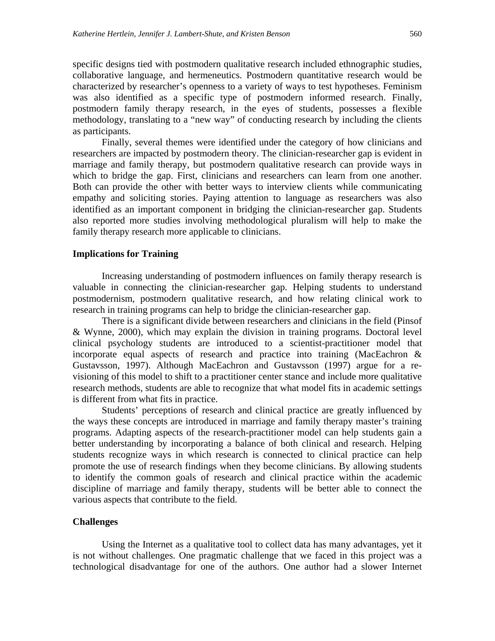specific designs tied with postmodern qualitative research included ethnographic studies, collaborative language, and hermeneutics. Postmodern quantitative research would be characterized by researcher's openness to a variety of ways to test hypotheses. Feminism was also identified as a specific type of postmodern informed research. Finally, postmodern family therapy research, in the eyes of students, possesses a flexible methodology, translating to a "new way" of conducting research by including the clients as participants.

 Finally, several themes were identified under the category of how clinicians and researchers are impacted by postmodern theory. The clinician-researcher gap is evident in marriage and family therapy, but postmodern qualitative research can provide ways in which to bridge the gap. First, clinicians and researchers can learn from one another. Both can provide the other with better ways to interview clients while communicating empathy and soliciting stories. Paying attention to language as researchers was also identified as an important component in bridging the clinician-researcher gap. Students also reported more studies involving methodological pluralism will help to make the family therapy research more applicable to clinicians.

#### **Implications for Training**

Increasing understanding of postmodern influences on family therapy research is valuable in connecting the clinician-researcher gap. Helping students to understand postmodernism, postmodern qualitative research, and how relating clinical work to research in training programs can help to bridge the clinician-researcher gap.

There is a significant divide between researchers and clinicians in the field (Pinsof & Wynne, 2000), which may explain the division in training programs. Doctoral level clinical psychology students are introduced to a scientist-practitioner model that incorporate equal aspects of research and practice into training (MacEachron & Gustavsson, 1997). Although MacEachron and Gustavsson (1997) argue for a revisioning of this model to shift to a practitioner center stance and include more qualitative research methods, students are able to recognize that what model fits in academic settings is different from what fits in practice.

Students' perceptions of research and clinical practice are greatly influenced by the ways these concepts are introduced in marriage and family therapy master's training programs. Adapting aspects of the research-practitioner model can help students gain a better understanding by incorporating a balance of both clinical and research. Helping students recognize ways in which research is connected to clinical practice can help promote the use of research findings when they become clinicians. By allowing students to identify the common goals of research and clinical practice within the academic discipline of marriage and family therapy, students will be better able to connect the various aspects that contribute to the field.

#### **Challenges**

 Using the Internet as a qualitative tool to collect data has many advantages, yet it is not without challenges. One pragmatic challenge that we faced in this project was a technological disadvantage for one of the authors. One author had a slower Internet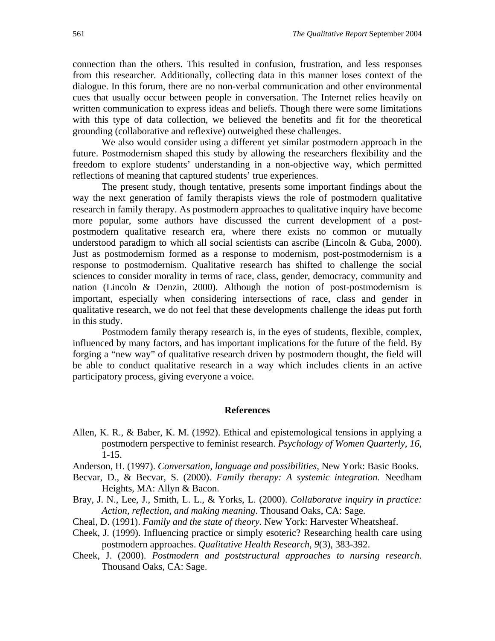connection than the others. This resulted in confusion, frustration, and less responses from this researcher. Additionally, collecting data in this manner loses context of the dialogue. In this forum, there are no non-verbal communication and other environmental cues that usually occur between people in conversation. The Internet relies heavily on written communication to express ideas and beliefs. Though there were some limitations with this type of data collection, we believed the benefits and fit for the theoretical grounding (collaborative and reflexive) outweighed these challenges.

 We also would consider using a different yet similar postmodern approach in the future. Postmodernism shaped this study by allowing the researchers flexibility and the freedom to explore students' understanding in a non-objective way, which permitted reflections of meaning that captured students' true experiences.

The present study, though tentative, presents some important findings about the way the next generation of family therapists views the role of postmodern qualitative research in family therapy. As postmodern approaches to qualitative inquiry have become more popular, some authors have discussed the current development of a postpostmodern qualitative research era, where there exists no common or mutually understood paradigm to which all social scientists can ascribe (Lincoln & Guba, 2000). Just as postmodernism formed as a response to modernism, post-postmodernism is a response to postmodernism. Qualitative research has shifted to challenge the social sciences to consider morality in terms of race, class, gender, democracy, community and nation (Lincoln & Denzin, 2000). Although the notion of post-postmodernism is important, especially when considering intersections of race, class and gender in qualitative research, we do not feel that these developments challenge the ideas put forth in this study.

Postmodern family therapy research is, in the eyes of students, flexible, complex, influenced by many factors, and has important implications for the future of the field. By forging a "new way" of qualitative research driven by postmodern thought, the field will be able to conduct qualitative research in a way which includes clients in an active participatory process, giving everyone a voice.

#### **References**

- Allen, K. R., & Baber, K. M. (1992). Ethical and epistemological tensions in applying a postmodern perspective to feminist research. *Psychology of Women Quarterly, 16,* 1-15.
- Anderson, H. (1997). *Conversation, language and possibilities,* New York: Basic Books.
- Becvar, D., & Becvar, S. (2000). *Family therapy: A systemic integration.* Needham Heights, MA: Allyn & Bacon.
- Bray, J. N., Lee, J., Smith, L. L., & Yorks, L. (2000). *Collaboratve inquiry in practice: Action, reflection, and making meaning*. Thousand Oaks, CA: Sage.
- Cheal, D. (1991). *Family and the state of theory.* New York: Harvester Wheatsheaf.
- Cheek, J. (1999). Influencing practice or simply esoteric? Researching health care using postmodern approaches. *Qualitative Health Research*, *9*(3), 383-392.
- Cheek, J. (2000). *Postmodern and poststructural approaches to nursing research*. Thousand Oaks, CA: Sage.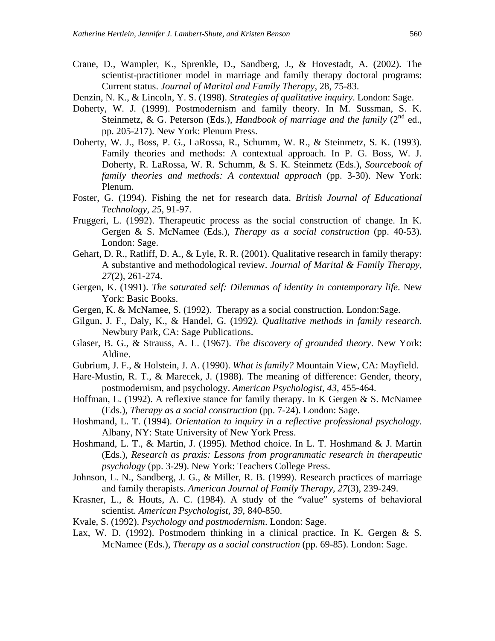- Crane, D., Wampler, K., Sprenkle, D., Sandberg, J., & Hovestadt, A. (2002). The scientist-practitioner model in marriage and family therapy doctoral programs: Current status. *Journal of Marital and Family Therapy*, 28, 75-83.
- Denzin, N. K., & Lincoln, Y. S. (1998). *Strategies of qualitative inquiry*. London: Sage.
- Doherty, W. J. (1999). Postmodernism and family theory. In M. Sussman, S. K. Steinmetz, & G. Peterson (Eds.), *Handbook of marriage and the family* ( $2<sup>nd</sup>$  ed., pp. 205-217). New York: Plenum Press.
- Doherty, W. J., Boss, P. G., LaRossa, R., Schumm, W. R., & Steinmetz, S. K. (1993). Family theories and methods: A contextual approach. In P. G. Boss, W. J. Doherty, R. LaRossa, W. R. Schumm, & S. K. Steinmetz (Eds.), *Sourcebook of family theories and methods: A contextual approach (pp. 3-30). New York:* Plenum.
- Foster, G. (1994). Fishing the net for research data. *British Journal of Educational Technology, 25,* 91-97.
- Fruggeri, L. (1992). Therapeutic process as the social construction of change. In K. Gergen & S. McNamee (Eds.), *Therapy as a social construction* (pp. 40-53). London: Sage.
- Gehart, D. R., Ratliff, D. A., & Lyle, R. R. (2001). Qualitative research in family therapy: A substantive and methodological review. *Journal of Marital & Family Therapy, 27*(2)*,* 261-274.
- Gergen, K. (1991). *The saturated self: Dilemmas of identity in contemporary life*. New York: Basic Books.
- Gergen, K. & McNamee, S. (1992). Therapy as a social construction. London:Sage.
- Gilgun, J. F., Daly, K., & Handel, G. (1992*). Qualitative methods in family research*. Newbury Park, CA: Sage Publications.
- Glaser, B. G., & Strauss, A. L. (1967). *The discovery of grounded theory*. New York: Aldine.
- Gubrium, J. F., & Holstein, J. A. (1990). *What is family?* Mountain View, CA: Mayfield.
- Hare-Mustin, R. T., & Marecek, J. (1988). The meaning of difference: Gender, theory, postmodernism, and psychology. *American Psychologist, 43*, 455-464.
- Hoffman, L. (1992). A reflexive stance for family therapy. In K Gergen & S. McNamee (Eds.), *Therapy as a social construction* (pp. 7-24). London: Sage.
- Hoshmand, L. T. (1994). *Orientation to inquiry in a reflective professional psychology.* Albany, NY: State University of New York Press.
- Hoshmand, L. T., & Martin, J. (1995). Method choice. In L. T. Hoshmand & J. Martin (Eds.), *Research as praxis: Lessons from programmatic research in therapeutic psychology* (pp. 3-29). New York: Teachers College Press.
- Johnson, L. N., Sandberg, J. G., & Miller, R. B. (1999). Research practices of marriage and family therapists. *American Journal of Family Therapy, 27*(3), 239-249.
- Krasner, L., & Houts, A. C. (1984). A study of the "value" systems of behavioral scientist. *American Psychologist, 39*, 840-850.
- Kvale, S. (1992). *Psychology and postmodernism*. London: Sage.
- Lax, W. D. (1992). Postmodern thinking in a clinical practice. In K. Gergen  $& S$ . McNamee (Eds.), *Therapy as a social construction* (pp. 69-85). London: Sage.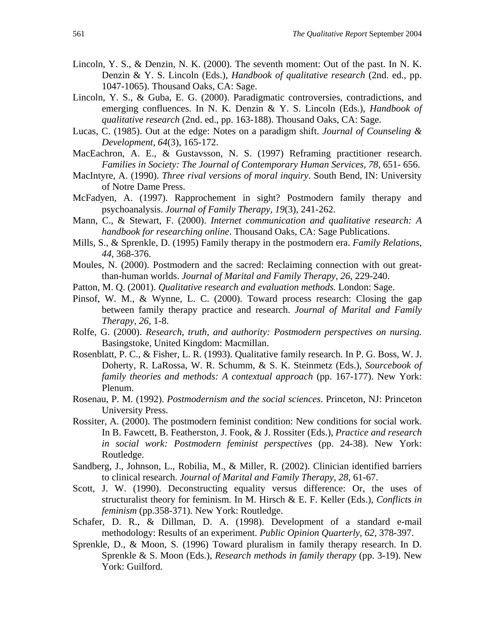- Lincoln, Y. S., & Denzin, N. K. (2000). The seventh moment: Out of the past. In N. K. Denzin & Y. S. Lincoln (Eds.), *Handbook of qualitative research* (2nd. ed., pp. 1047-1065). Thousand Oaks, CA: Sage.
- Lincoln, Y. S., & Guba, E. G. (2000). Paradigmatic controversies, contradictions, and emerging confluences. In N. K. Denzin & Y. S. Lincoln (Eds.), *Handbook of qualitative research* (2nd. ed., pp. 163-188). Thousand Oaks, CA: Sage.
- Lucas, C. (1985). Out at the edge: Notes on a paradigm shift. *Journal of Counseling & Development, 64*(3), 165-172.
- MacEachron, A. E., & Gustavsson, N. S. (1997) Reframing practitioner research. *Families in Society: The Journal of Contemporary Human Services, 78*, 651- 656.
- MacIntyre, A. (1990). *Three rival versions of moral inquiry*. South Bend, IN: University of Notre Dame Press.
- McFadyen, A. (1997). Rapprochement in sight? Postmodern family therapy and psychoanalysis. *Journal of Family Therapy, 19*(3), 241-262.
- Mann, C., & Stewart, F. (2000). *Internet communication and qualitative research: A handbook for researching online*. Thousand Oaks, CA: Sage Publications.
- Mills, S., & Sprenkle, D. (1995) Family therapy in the postmodern era. *Family Relations*, *44,* 368-376.
- Moules, N. (2000). Postmodern and the sacred: Reclaiming connection with out greatthan-human worlds. *Journal of Marital and Family Therapy*, *26*, 229-240.
- Patton, M. Q. (2001). *Qualitative research and evaluation methods.* London: Sage.
- Pinsof, W. M., & Wynne, L. C. (2000). Toward process research: Closing the gap between family therapy practice and research. *Journal of Marital and Family Therapy, 26*, 1-8.
- Rolfe, G. (2000). *Research, truth, and authority: Postmodern perspectives on nursing.*  Basingstoke, United Kingdom: Macmillan.
- Rosenblatt, P. C., & Fisher, L. R. (1993). Qualitative family research. In P. G. Boss, W. J. Doherty, R. LaRossa, W. R. Schumm, & S. K. Steinmetz (Eds.), *Sourcebook of family theories and methods: A contextual approach (pp. 167-177). New York:* Plenum.
- Rosenau, P. M. (1992). *Postmodernism and the social sciences*. Princeton, NJ: Princeton University Press.
- Rossiter, A. (2000). The postmodern feminist condition: New conditions for social work. In B. Fawcett, B. Featherston, J. Fook, & J. Rossiter (Eds.), *Practice and research in social work: Postmodern feminist perspectives* (pp. 24-38). New York: Routledge.
- Sandberg, J., Johnson, L., Robilia, M., & Miller, R. (2002). Clinician identified barriers to clinical research. *Journal of Marital and Family Therapy, 28,* 61-67.
- Scott, J. W. (1990). Deconstructing equality versus difference: Or, the uses of structuralist theory for feminism. In M. Hirsch & E. F. Keller (Eds.), *Conflicts in feminism* (pp.358-371). New York: Routledge.
- Schafer, D. R., & Dillman, D. A. (1998). Development of a standard e-mail methodology: Results of an experiment. *Public Opinion Quarterly, 62,* 378-397.
- Sprenkle, D., & Moon, S. (1996) Toward pluralism in family therapy research. In D. Sprenkle & S. Moon (Eds.), *Research methods in family therapy* (pp. 3-19). New York: Guilford.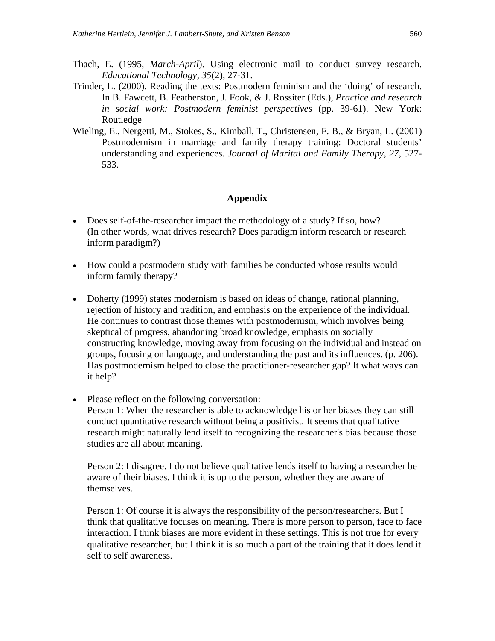- Thach, E. (1995, *March-April*). Using electronic mail to conduct survey research. *Educational Technology, 35*(2), 27-31.
- Trinder, L. (2000). Reading the texts: Postmodern feminism and the 'doing' of research. In B. Fawcett, B. Featherston, J. Fook, & J. Rossiter (Eds.), *Practice and research in social work: Postmodern feminist perspectives* (pp. 39-61). New York: Routledge
- Wieling, E., Nergetti, M., Stokes, S., Kimball, T., Christensen, F. B., & Bryan, L. (2001) Postmodernism in marriage and family therapy training: Doctoral students' understanding and experiences. *Journal of Marital and Family Therapy, 27*, 527- 533.

#### **Appendix**

- Does self-of-the-researcher impact the methodology of a study? If so, how? (In other words, what drives research? Does paradigm inform research or research inform paradigm?)
- How could a postmodern study with families be conducted whose results would inform family therapy?
- Doherty (1999) states modernism is based on ideas of change, rational planning, rejection of history and tradition, and emphasis on the experience of the individual. He continues to contrast those themes with postmodernism, which involves being skeptical of progress, abandoning broad knowledge, emphasis on socially constructing knowledge, moving away from focusing on the individual and instead on groups, focusing on language, and understanding the past and its influences. (p. 206). Has postmodernism helped to close the practitioner-researcher gap? It what ways can it help?
- Please reflect on the following conversation:

Person 1: When the researcher is able to acknowledge his or her biases they can still conduct quantitative research without being a positivist. It seems that qualitative research might naturally lend itself to recognizing the researcher's bias because those studies are all about meaning.

Person 2: I disagree. I do not believe qualitative lends itself to having a researcher be aware of their biases. I think it is up to the person, whether they are aware of themselves.

Person 1: Of course it is always the responsibility of the person/researchers. But I think that qualitative focuses on meaning. There is more person to person, face to face interaction. I think biases are more evident in these settings. This is not true for every qualitative researcher, but I think it is so much a part of the training that it does lend it self to self awareness.